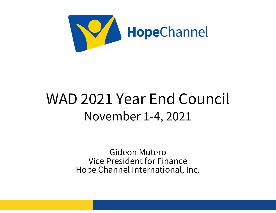

#### WAD 2021 Year End Council November 1-4, 2021

Gideon Mutero Vice President for Finance Hope Channel International, Inc.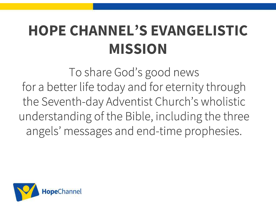### HOPE CHANNEL'S EVANGELISTIC MISSION

To share God's good news for a better life today and for eternity through the Seventh-day Adventist Church's wholistic understanding of the Bible, including the three angels' messages and end-time prophesies.

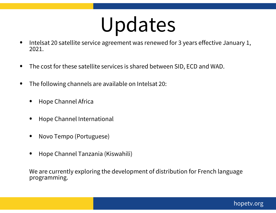## Updates

- Intelsat 20 satellite service agreement was renewed for 3 years effective January 1, 2021.
- The cost for these satellite services is shared between SID, ECD and WAD.
- The following channels are available on Intelsat 20:
	- Hope Channel Africa
	- Hope Channel International
	- Novo Tempo (Portuguese)
	- Hope Channel Tanzania (Kiswahili)

We are currently exploring the development of distribution for French language programming.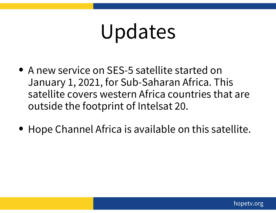## Updates

- A new service on SES-5 satellite started on January 1, 2021, for Sub-Saharan Africa. This satellite covers western Africa countries that are outside the footprint of Intelsat 20.
- Hope Channel Africa is available on this satellite.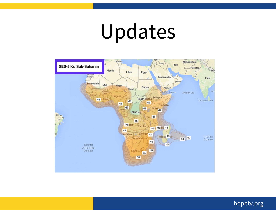## Updates



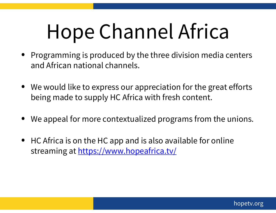# Hope Channel Africa

- Programming is produced by the three division media centers and African national channels.
- We would like to express our appreciation for the great efforts being made to supply HC Africa with fresh content.
- We appeal for more contextualized programs from the unions.
- HC Africa is on the HC app and is also available for online streaming at https://www.hopeafrica.tv/

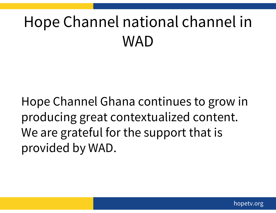## Hope Channel national channel in WAD

Hope Channel Ghana continues to grow in producing great contextualized content. We are grateful for the support that is provided by WAD.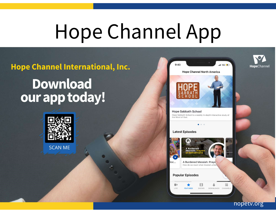## Hope Channel App

#### Hope Channel International, Inc.

#### **Download** our app today!



**Hope Sabbath School** Hope Sabbath School is a weekly in-depth interactive study of the Word of God.  $0000$ **Latest Episodes A** Burdened

**Hope Channel North America** 

 $9:43$ 

A Burdened Messiah: Prave How do we react when treated unfa

#### **Popular Episodes**

sос...





 $-1$  5G  $+$ 

hopetv.org